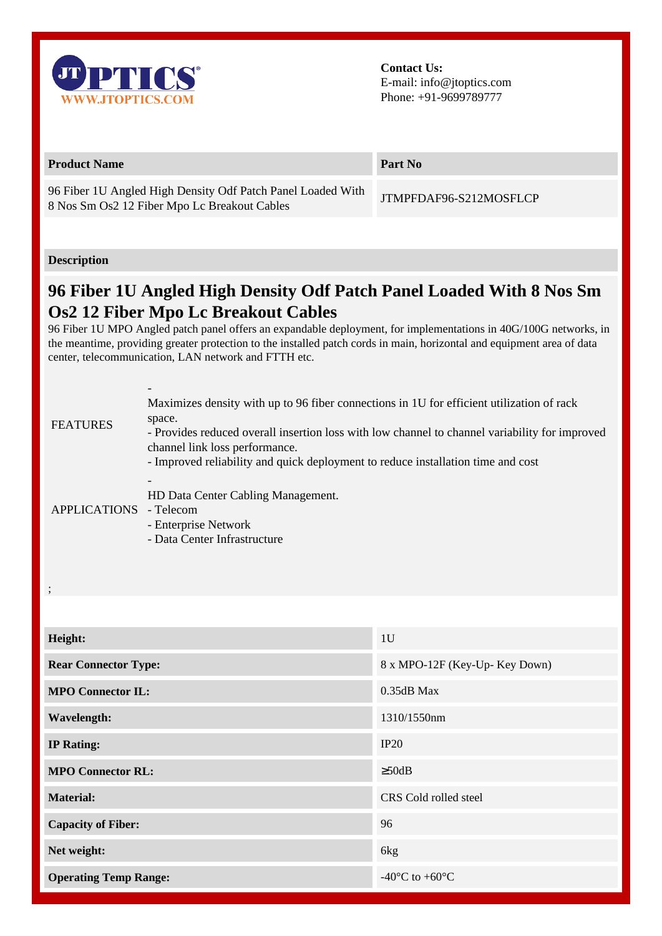

**Contact Us:** E-mail: info@jtoptics.com Phone: +91-9699789777

| <b>Product Name</b>                                                                                         | Part No                |
|-------------------------------------------------------------------------------------------------------------|------------------------|
| 96 Fiber 1U Angled High Density Odf Patch Panel Loaded With<br>8 Nos Sm Os2 12 Fiber Mpo Lc Breakout Cables | JTMPFDAF96-S212MOSFLCP |

**Description**

## **96 Fiber 1U Angled High Density Odf Patch Panel Loaded With 8 Nos Sm Os2 12 Fiber Mpo Lc Breakout Cables**

96 Fiber 1U MPO Angled patch panel offers an expandable deployment, for implementations in 40G/100G networks, in the meantime, providing greater protection to the installed patch cords in main, horizontal and equipment area of data center, telecommunication, LAN network and FTTH etc.

| <b>FEATURES</b>     | $\overline{\phantom{a}}$<br>Maximizes density with up to 96 fiber connections in 1U for efficient utilization of rack<br>space.<br>- Provides reduced overall insertion loss with low channel to channel variability for improved<br>channel link loss performance.<br>- Improved reliability and quick deployment to reduce installation time and cost |
|---------------------|---------------------------------------------------------------------------------------------------------------------------------------------------------------------------------------------------------------------------------------------------------------------------------------------------------------------------------------------------------|
| <b>APPLICATIONS</b> | $\overline{\phantom{a}}$<br>HD Data Center Cabling Management.<br>- Telecom<br>- Enterprise Network<br>- Data Center Infrastructure                                                                                                                                                                                                                     |

;

| Height:                      | 1 <sub>U</sub>                     |
|------------------------------|------------------------------------|
| <b>Rear Connector Type:</b>  | 8 x MPO-12F (Key-Up- Key Down)     |
| <b>MPO Connector IL:</b>     | $0.35dB$ Max                       |
| <b>Wavelength:</b>           | 1310/1550nm                        |
| <b>IP Rating:</b>            | IP20                               |
| <b>MPO Connector RL:</b>     | $\geq$ 50dB                        |
| <b>Material:</b>             | CRS Cold rolled steel              |
| <b>Capacity of Fiber:</b>    | 96                                 |
| Net weight:                  | 6 <sub>kg</sub>                    |
| <b>Operating Temp Range:</b> | $-40^{\circ}$ C to $+60^{\circ}$ C |